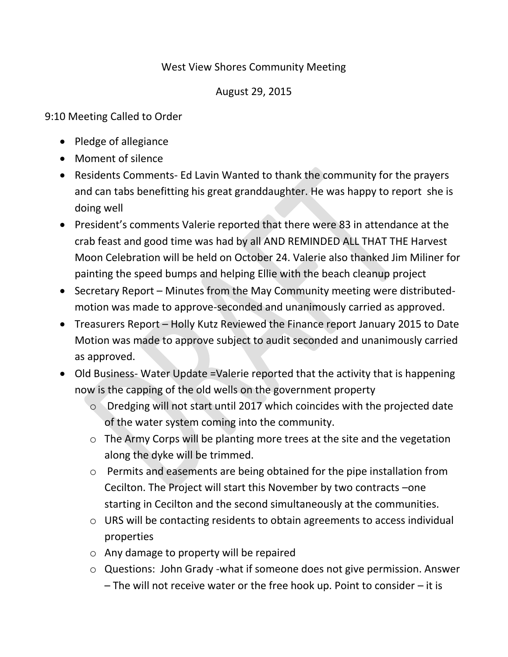## West View Shores Community Meeting

## August 29, 2015

9:10 Meeting Called to Order

- Pledge of allegiance
- Moment of silence
- Residents Comments- Ed Lavin Wanted to thank the community for the prayers and can tabs benefitting his great granddaughter. He was happy to report she is doing well
- President's comments Valerie reported that there were 83 in attendance at the crab feast and good time was had by all AND REMINDED ALL THAT THE Harvest Moon Celebration will be held on October 24. Valerie also thanked Jim Miliner for painting the speed bumps and helping Ellie with the beach cleanup project
- Secretary Report Minutes from the May Community meeting were distributedmotion was made to approve-seconded and unanimously carried as approved.
- Treasurers Report Holly Kutz Reviewed the Finance report January 2015 to Date Motion was made to approve subject to audit seconded and unanimously carried as approved.
- Old Business- Water Update =Valerie reported that the activity that is happening now is the capping of the old wells on the government property
	- o Dredging will not start until 2017 which coincides with the projected date of the water system coming into the community.
	- o The Army Corps will be planting more trees at the site and the vegetation along the dyke will be trimmed.
	- o Permits and easements are being obtained for the pipe installation from Cecilton. The Project will start this November by two contracts –one starting in Cecilton and the second simultaneously at the communities.
	- o URS will be contacting residents to obtain agreements to access individual properties
	- o Any damage to property will be repaired
	- o Questions: John Grady -what if someone does not give permission. Answer – The will not receive water or the free hook up. Point to consider – it is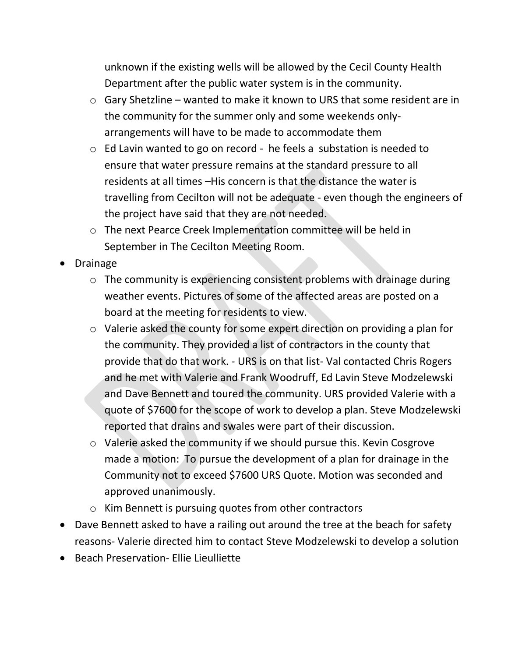unknown if the existing wells will be allowed by the Cecil County Health Department after the public water system is in the community.

- o Gary Shetzline wanted to make it known to URS that some resident are in the community for the summer only and some weekends onlyarrangements will have to be made to accommodate them
- o Ed Lavin wanted to go on record he feels a substation is needed to ensure that water pressure remains at the standard pressure to all residents at all times –His concern is that the distance the water is travelling from Cecilton will not be adequate - even though the engineers of the project have said that they are not needed.
- o The next Pearce Creek Implementation committee will be held in September in The Cecilton Meeting Room.
- Drainage
	- o The community is experiencing consistent problems with drainage during weather events. Pictures of some of the affected areas are posted on a board at the meeting for residents to view.
	- o Valerie asked the county for some expert direction on providing a plan for the community. They provided a list of contractors in the county that provide that do that work. - URS is on that list- Val contacted Chris Rogers and he met with Valerie and Frank Woodruff, Ed Lavin Steve Modzelewski and Dave Bennett and toured the community. URS provided Valerie with a quote of \$7600 for the scope of work to develop a plan. Steve Modzelewski reported that drains and swales were part of their discussion.
	- o Valerie asked the community if we should pursue this. Kevin Cosgrove made a motion: To pursue the development of a plan for drainage in the Community not to exceed \$7600 URS Quote. Motion was seconded and approved unanimously.
	- o Kim Bennett is pursuing quotes from other contractors
- Dave Bennett asked to have a railing out around the tree at the beach for safety reasons- Valerie directed him to contact Steve Modzelewski to develop a solution
- Beach Preservation- Ellie Lieulliette